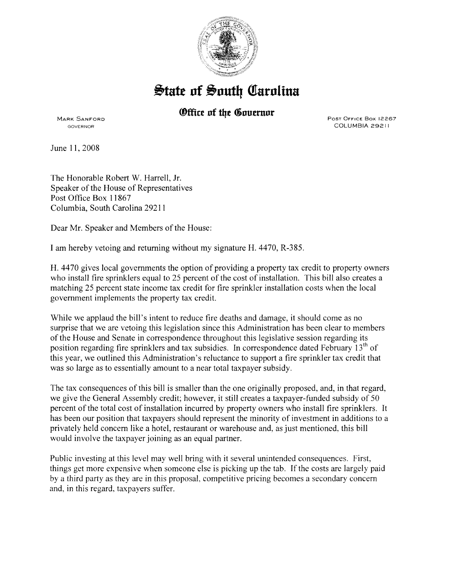

## $\frac{1}{2}$ tate of South Carolina

## *®ffice of the Governor*

MARK SANFORD GOVERNOR

Post Office Box 12267 COLUMBIA 29211

June 11, 2008

The Honorable Robert W. Harrell, Jr. Speaker of the House of Representatives Post Office Box 11867 Columbia, South Carolina 29211

Dear Mr. Speaker and Members of the House:

I am hereby vetoing and returning without my signature H. 4470, R-385.

H. 4470 gives local governments the option of providing a property tax credit to property owners who install fire sprinklers equal to 25 percent of the cost of installation. This bill also creates a matching 25 percent state income tax credit for fire sprinkler installation costs when the local government implements the property tax credit.

While we applaud the bill's intent to reduce fire deaths and damage, it should come as no surprise that we are vetoing this legislation since this Administration has been clear to members of the House and Senate in correspondence throughout this legislative session regarding its position regarding fire sprinklers and tax subsidies. In correspondence dated February 13<sup>th</sup> of this year, we outlined this Administration's reluctance to support a fire sprinkler tax credit that was so large as to essentially amount to a near total taxpayer subsidy.

The tax consequences of this bill is smaller than the one originally proposed, and, in that regard, we give the General Assembly credit; however, it still creates a taxpayer-funded subsidy of 50 percent of the total cost of installation incurred by property owners who install fire sprinklers. It has been our position that taxpayers should represent the minority of investment in additions to a privately held concern like a hotel, restaurant or warehouse and, as just mentioned, this bill would involve the taxpayer joining as an equal partner.

Public investing at this level may well bring with it several unintended consequences. First, things get more expensive when someone else is picking up the tab. If the costs are largely paid by a third party as they are in this proposal, competitive pricing becomes a secondary concern and, in this regard, taxpayers suffer.